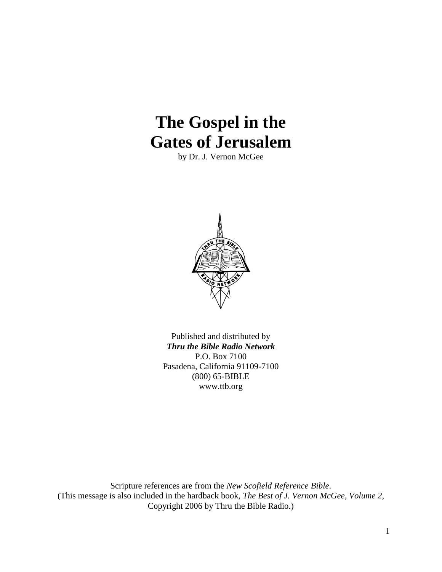# **The Gospel in the Gates of Jerusalem**

by Dr. J. Vernon McGee



Published and distributed by *Thru the Bible Radio Network* P.O. Box 7100 Pasadena, California 91109-7100 (800) 65-BIBLE www.ttb.org

Scripture references are from the *New Scofield Reference Bible*. (This message is also included in the hardback book, *The Best of J. Vernon McGee, Volume 2*, Copyright 2006 by Thru the Bible Radio.)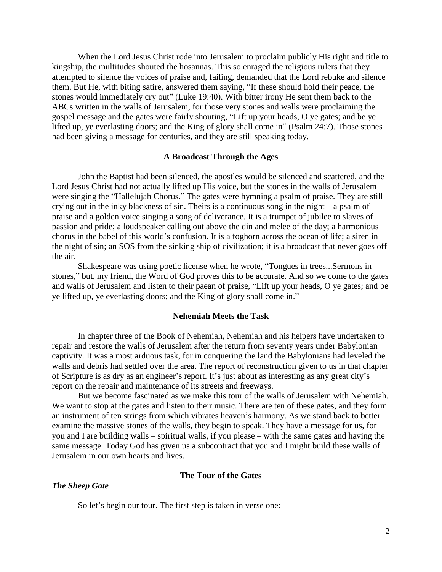When the Lord Jesus Christ rode into Jerusalem to proclaim publicly His right and title to kingship, the multitudes shouted the hosannas. This so enraged the religious rulers that they attempted to silence the voices of praise and, failing, demanded that the Lord rebuke and silence them. But He, with biting satire, answered them saying, "If these should hold their peace, the stones would immediately cry out" (Luke 19:40). With bitter irony He sent them back to the ABCs written in the walls of Jerusalem, for those very stones and walls were proclaiming the gospel message and the gates were fairly shouting, "Lift up your heads, O ye gates; and be ye lifted up, ye everlasting doors; and the King of glory shall come in" (Psalm 24:7). Those stones had been giving a message for centuries, and they are still speaking today.

## **A Broadcast Through the Ages**

John the Baptist had been silenced, the apostles would be silenced and scattered, and the Lord Jesus Christ had not actually lifted up His voice, but the stones in the walls of Jerusalem were singing the "Hallelujah Chorus." The gates were hymning a psalm of praise. They are still crying out in the inky blackness of sin. Theirs is a continuous song in the night – a psalm of praise and a golden voice singing a song of deliverance. It is a trumpet of jubilee to slaves of passion and pride; a loudspeaker calling out above the din and melee of the day; a harmonious chorus in the babel of this world"s confusion. It is a foghorn across the ocean of life; a siren in the night of sin; an SOS from the sinking ship of civilization; it is a broadcast that never goes off the air.

Shakespeare was using poetic license when he wrote, "Tongues in trees...Sermons in stones," but, my friend, the Word of God proves this to be accurate. And so we come to the gates and walls of Jerusalem and listen to their paean of praise, "Lift up your heads, O ye gates; and be ye lifted up, ye everlasting doors; and the King of glory shall come in."

#### **Nehemiah Meets the Task**

In chapter three of the Book of Nehemiah, Nehemiah and his helpers have undertaken to repair and restore the walls of Jerusalem after the return from seventy years under Babylonian captivity. It was a most arduous task, for in conquering the land the Babylonians had leveled the walls and debris had settled over the area. The report of reconstruction given to us in that chapter of Scripture is as dry as an engineer"s report. It"s just about as interesting as any great city"s report on the repair and maintenance of its streets and freeways.

But we become fascinated as we make this tour of the walls of Jerusalem with Nehemiah. We want to stop at the gates and listen to their music. There are ten of these gates, and they form an instrument of ten strings from which vibrates heaven's harmony. As we stand back to better examine the massive stones of the walls, they begin to speak. They have a message for us, for you and I are building walls – spiritual walls, if you please – with the same gates and having the same message. Today God has given us a subcontract that you and I might build these walls of Jerusalem in our own hearts and lives.

### **The Tour of the Gates**

#### *The Sheep Gate*

So let's begin our tour. The first step is taken in verse one: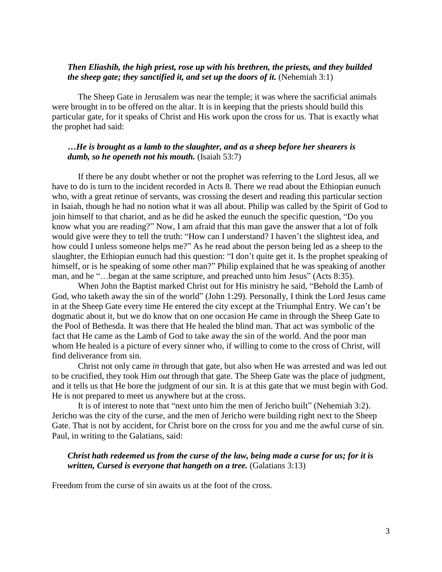# *Then Eliashib, the high priest, rose up with his brethren, the priests, and they builded the sheep gate; they sanctified it, and set up the doors of it.* (Nehemiah 3:1)

The Sheep Gate in Jerusalem was near the temple; it was where the sacrificial animals were brought in to be offered on the altar. It is in keeping that the priests should build this particular gate, for it speaks of Christ and His work upon the cross for us. That is exactly what the prophet had said:

## *…He is brought as a lamb to the slaughter, and as a sheep before her shearers is dumb, so he openeth not his mouth.* (Isaiah 53:7)

If there be any doubt whether or not the prophet was referring to the Lord Jesus, all we have to do is turn to the incident recorded in Acts 8. There we read about the Ethiopian eunuch who, with a great retinue of servants, was crossing the desert and reading this particular section in Isaiah, though he had no notion what it was all about. Philip was called by the Spirit of God to join himself to that chariot, and as he did he asked the eunuch the specific question, "Do you know what you are reading?" Now, I am afraid that this man gave the answer that a lot of folk would give were they to tell the truth: "How can I understand? I haven't the slightest idea, and how could I unless someone helps me?" As he read about the person being led as a sheep to the slaughter, the Ethiopian eunuch had this question: "I don"t quite get it. Is the prophet speaking of himself, or is he speaking of some other man?" Philip explained that he was speaking of another man, and he "…began at the same scripture, and preached unto him Jesus" (Acts 8:35).

When John the Baptist marked Christ out for His ministry he said, "Behold the Lamb of God, who taketh away the sin of the world" (John 1:29). Personally, I think the Lord Jesus came in at the Sheep Gate every time He entered the city except at the Triumphal Entry. We can"t be dogmatic about it, but we do know that on one occasion He came in through the Sheep Gate to the Pool of Bethesda. It was there that He healed the blind man. That act was symbolic of the fact that He came as the Lamb of God to take away the sin of the world. And the poor man whom He healed is a picture of every sinner who, if willing to come to the cross of Christ, will find deliverance from sin.

Christ not only came *in* through that gate, but also when He was arrested and was led out to be crucified, they took Him *out* through that gate. The Sheep Gate was the place of judgment, and it tells us that He bore the judgment of our sin. It is at this gate that we must begin with God. He is not prepared to meet us anywhere but at the cross.

It is of interest to note that "next unto him the men of Jericho built" (Nehemiah 3:2). Jericho was the city of the curse, and the men of Jericho were building right next to the Sheep Gate. That is not by accident, for Christ bore on the cross for you and me the awful curse of sin. Paul, in writing to the Galatians, said:

## *Christ hath redeemed us from the curse of the law, being made a curse for us; for it is written, Cursed is everyone that hangeth on a tree.* (Galatians 3:13)

Freedom from the curse of sin awaits us at the foot of the cross.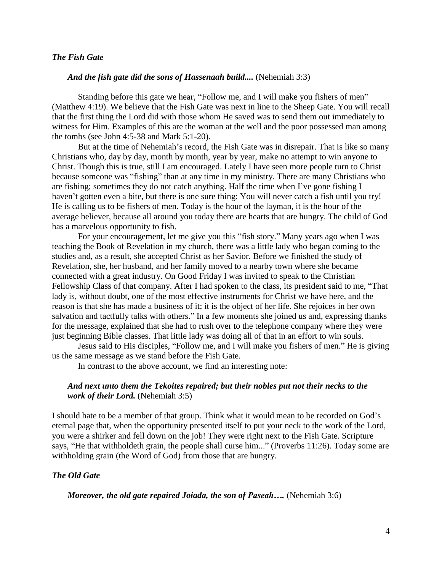## *The Fish Gate*

## *And the fish gate did the sons of Hassenaah build....* (Nehemiah 3:3)

Standing before this gate we hear, "Follow me, and I will make you fishers of men" (Matthew 4:19). We believe that the Fish Gate was next in line to the Sheep Gate. You will recall that the first thing the Lord did with those whom He saved was to send them out immediately to witness for Him. Examples of this are the woman at the well and the poor possessed man among the tombs (see John 4:5-38 and Mark 5:1-20).

But at the time of Nehemiah's record, the Fish Gate was in disrepair. That is like so many Christians who, day by day, month by month, year by year, make no attempt to win anyone to Christ. Though this is true, still I am encouraged. Lately I have seen more people turn to Christ because someone was "fishing" than at any time in my ministry. There are many Christians who are fishing; sometimes they do not catch anything. Half the time when I"ve gone fishing I haven't gotten even a bite, but there is one sure thing: You will never catch a fish until you try! He is calling us to be fishers of men. Today is the hour of the layman, it is the hour of the average believer, because all around you today there are hearts that are hungry. The child of God has a marvelous opportunity to fish.

For your encouragement, let me give you this "fish story." Many years ago when I was teaching the Book of Revelation in my church, there was a little lady who began coming to the studies and, as a result, she accepted Christ as her Savior. Before we finished the study of Revelation, she, her husband, and her family moved to a nearby town where she became connected with a great industry. On Good Friday I was invited to speak to the Christian Fellowship Class of that company. After I had spoken to the class, its president said to me, "That lady is, without doubt, one of the most effective instruments for Christ we have here, and the reason is that she has made a business of it; it is the object of her life. She rejoices in her own salvation and tactfully talks with others." In a few moments she joined us and, expressing thanks for the message, explained that she had to rush over to the telephone company where they were just beginning Bible classes. That little lady was doing all of that in an effort to win souls.

Jesus said to His disciples, "Follow me, and I will make you fishers of men." He is giving us the same message as we stand before the Fish Gate.

In contrast to the above account, we find an interesting note:

# *And next unto them the Tekoites repaired; but their nobles put not their necks to the work of their Lord.* (Nehemiah 3:5)

I should hate to be a member of that group. Think what it would mean to be recorded on God"s eternal page that, when the opportunity presented itself to put your neck to the work of the Lord, you were a shirker and fell down on the job! They were right next to the Fish Gate. Scripture says, "He that withholdeth grain, the people shall curse him..." (Proverbs 11:26). Today some are withholding grain (the Word of God) from those that are hungry.

#### *The Old Gate*

*Moreover, the old gate repaired Joiada, the son of Paseah….* (Nehemiah 3:6)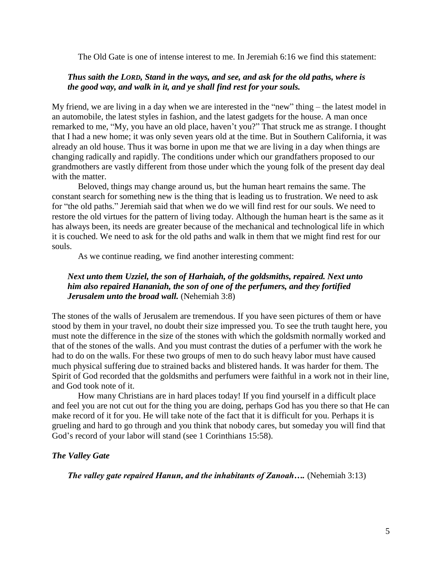The Old Gate is one of intense interest to me. In Jeremiah 6:16 we find this statement:

# *Thus saith the LORD, Stand in the ways, and see, and ask for the old paths, where is the good way, and walk in it, and ye shall find rest for your souls.*

My friend, we are living in a day when we are interested in the "new" thing – the latest model in an automobile, the latest styles in fashion, and the latest gadgets for the house. A man once remarked to me, "My, you have an old place, haven"t you?" That struck me as strange. I thought that I had a new home; it was only seven years old at the time. But in Southern California, it was already an old house. Thus it was borne in upon me that we are living in a day when things are changing radically and rapidly. The conditions under which our grandfathers proposed to our grandmothers are vastly different from those under which the young folk of the present day deal with the matter.

Beloved, things may change around us, but the human heart remains the same. The constant search for something new is the thing that is leading us to frustration. We need to ask for "the old paths." Jeremiah said that when we do we will find rest for our souls. We need to restore the old virtues for the pattern of living today. Although the human heart is the same as it has always been, its needs are greater because of the mechanical and technological life in which it is couched. We need to ask for the old paths and walk in them that we might find rest for our souls.

As we continue reading, we find another interesting comment:

# *Next unto them Uzziel, the son of Harhaiah, of the goldsmiths, repaired. Next unto him also repaired Hananiah, the son of one of the perfumers, and they fortified Jerusalem unto the broad wall.* (Nehemiah 3:8)

The stones of the walls of Jerusalem are tremendous. If you have seen pictures of them or have stood by them in your travel, no doubt their size impressed you. To see the truth taught here, you must note the difference in the size of the stones with which the goldsmith normally worked and that of the stones of the walls. And you must contrast the duties of a perfumer with the work he had to do on the walls. For these two groups of men to do such heavy labor must have caused much physical suffering due to strained backs and blistered hands. It was harder for them. The Spirit of God recorded that the goldsmiths and perfumers were faithful in a work not in their line, and God took note of it.

How many Christians are in hard places today! If you find yourself in a difficult place and feel you are not cut out for the thing you are doing, perhaps God has you there so that He can make record of it for you. He will take note of the fact that it is difficult for you. Perhaps it is grueling and hard to go through and you think that nobody cares, but someday you will find that God's record of your labor will stand (see 1 Corinthians 15:58).

# *The Valley Gate*

*The valley gate repaired Hanun, and the inhabitants of Zanoah....* **(Nehemiah 3:13)**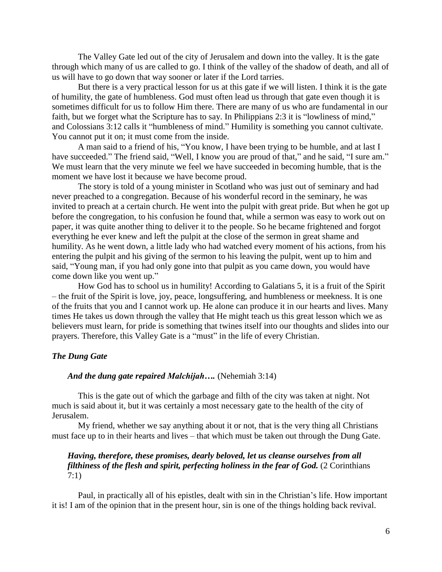The Valley Gate led out of the city of Jerusalem and down into the valley. It is the gate through which many of us are called to go. I think of the valley of the shadow of death, and all of us will have to go down that way sooner or later if the Lord tarries.

But there is a very practical lesson for us at this gate if we will listen. I think it is the gate of humility, the gate of humbleness. God must often lead us through that gate even though it is sometimes difficult for us to follow Him there. There are many of us who are fundamental in our faith, but we forget what the Scripture has to say. In Philippians 2:3 it is "lowliness of mind," and Colossians 3:12 calls it "humbleness of mind." Humility is something you cannot cultivate. You cannot put it on; it must come from the inside.

A man said to a friend of his, "You know, I have been trying to be humble, and at last I have succeeded." The friend said, "Well, I know you are proud of that," and he said, "I sure am." We must learn that the very minute we feel we have succeeded in becoming humble, that is the moment we have lost it because we have become proud.

The story is told of a young minister in Scotland who was just out of seminary and had never preached to a congregation. Because of his wonderful record in the seminary, he was invited to preach at a certain church. He went into the pulpit with great pride. But when he got up before the congregation, to his confusion he found that, while a sermon was easy to work out on paper, it was quite another thing to deliver it to the people. So he became frightened and forgot everything he ever knew and left the pulpit at the close of the sermon in great shame and humility. As he went down, a little lady who had watched every moment of his actions, from his entering the pulpit and his giving of the sermon to his leaving the pulpit, went up to him and said, "Young man, if you had only gone into that pulpit as you came down, you would have come down like you went up."

How God has to school us in humility! According to Galatians 5, it is a fruit of the Spirit – the fruit of the Spirit is love, joy, peace, longsuffering, and humbleness or meekness. It is one of the fruits that you and I cannot work up. He alone can produce it in our hearts and lives. Many times He takes us down through the valley that He might teach us this great lesson which we as believers must learn, for pride is something that twines itself into our thoughts and slides into our prayers. Therefore, this Valley Gate is a "must" in the life of every Christian.

# *The Dung Gate*

## *And the dung gate repaired Malchijah….* (Nehemiah 3:14)

This is the gate out of which the garbage and filth of the city was taken at night. Not much is said about it, but it was certainly a most necessary gate to the health of the city of Jerusalem.

My friend, whether we say anything about it or not, that is the very thing all Christians must face up to in their hearts and lives – that which must be taken out through the Dung Gate.

# *Having, therefore, these promises, dearly beloved, let us cleanse ourselves from all filthiness of the flesh and spirit, perfecting holiness in the fear of God.* (2 Corinthians 7:1)

Paul, in practically all of his epistles, dealt with sin in the Christian"s life. How important it is! I am of the opinion that in the present hour, sin is one of the things holding back revival.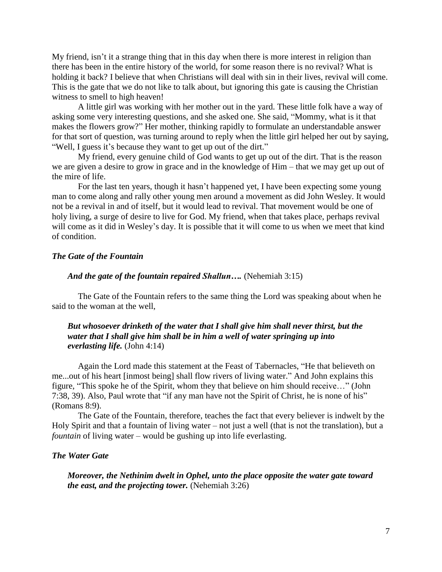My friend, isn't it a strange thing that in this day when there is more interest in religion than there has been in the entire history of the world, for some reason there is no revival? What is holding it back? I believe that when Christians will deal with sin in their lives, revival will come. This is the gate that we do not like to talk about, but ignoring this gate is causing the Christian witness to smell to high heaven!

A little girl was working with her mother out in the yard. These little folk have a way of asking some very interesting questions, and she asked one. She said, "Mommy, what is it that makes the flowers grow?" Her mother, thinking rapidly to formulate an understandable answer for that sort of question, was turning around to reply when the little girl helped her out by saying, "Well, I guess it's because they want to get up out of the dirt."

My friend, every genuine child of God wants to get up out of the dirt. That is the reason we are given a desire to grow in grace and in the knowledge of Him – that we may get up out of the mire of life.

For the last ten years, though it hasn"t happened yet, I have been expecting some young man to come along and rally other young men around a movement as did John Wesley. It would not be a revival in and of itself, but it would lead to revival. That movement would be one of holy living, a surge of desire to live for God. My friend, when that takes place, perhaps revival will come as it did in Wesley's day. It is possible that it will come to us when we meet that kind of condition.

## *The Gate of the Fountain*

### *And the gate of the fountain repaired Shallun….* (Nehemiah 3:15)

The Gate of the Fountain refers to the same thing the Lord was speaking about when he said to the woman at the well,

# *But whosoever drinketh of the water that I shall give him shall never thirst, but the water that I shall give him shall be in him a well of water springing up into everlasting life.* (John 4:14)

Again the Lord made this statement at the Feast of Tabernacles, "He that believeth on me...out of his heart [inmost being] shall flow rivers of living water." And John explains this figure, "This spoke he of the Spirit, whom they that believe on him should receive…" (John 7:38, 39). Also, Paul wrote that "if any man have not the Spirit of Christ, he is none of his" (Romans 8:9).

The Gate of the Fountain, therefore, teaches the fact that every believer is indwelt by the Holy Spirit and that a fountain of living water – not just a well (that is not the translation), but a *fountain* of living water – would be gushing up into life everlasting.

#### *The Water Gate*

*Moreover, the Nethinim dwelt in Ophel, unto the place opposite the water gate toward the east, and the projecting tower.* (Nehemiah 3:26)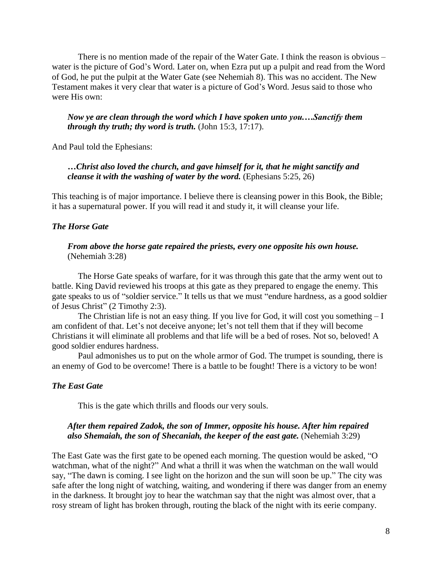There is no mention made of the repair of the Water Gate. I think the reason is obvious – water is the picture of God"s Word. Later on, when Ezra put up a pulpit and read from the Word of God, he put the pulpit at the Water Gate (see Nehemiah 8). This was no accident. The New Testament makes it very clear that water is a picture of God"s Word. Jesus said to those who were His own:

*Now ye are clean through the word which I have spoken unto you.…Sanctify them through thy truth; thy word is truth.* (John 15:3, 17:17).

And Paul told the Ephesians:

*…Christ also loved the church, and gave himself for it, that he might sanctify and cleanse it with the washing of water by the word.* (Ephesians 5:25, 26)

This teaching is of major importance. I believe there is cleansing power in this Book, the Bible; it has a supernatural power. If you will read it and study it, it will cleanse your life.

## *The Horse Gate*

## *From above the horse gate repaired the priests, every one opposite his own house.* (Nehemiah 3:28)

The Horse Gate speaks of warfare, for it was through this gate that the army went out to battle. King David reviewed his troops at this gate as they prepared to engage the enemy. This gate speaks to us of "soldier service." It tells us that we must "endure hardness, as a good soldier of Jesus Christ" (2 Timothy 2:3).

The Christian life is not an easy thing. If you live for God, it will cost you something – I am confident of that. Let's not deceive anyone; let's not tell them that if they will become Christians it will eliminate all problems and that life will be a bed of roses. Not so, beloved! A good soldier endures hardness.

Paul admonishes us to put on the whole armor of God. The trumpet is sounding, there is an enemy of God to be overcome! There is a battle to be fought! There is a victory to be won!

#### *The East Gate*

This is the gate which thrills and floods our very souls.

## *After them repaired Zadok, the son of Immer, opposite his house. After him repaired also Shemaiah, the son of Shecaniah, the keeper of the east gate.* (Nehemiah 3:29)

The East Gate was the first gate to be opened each morning. The question would be asked, "O watchman, what of the night?" And what a thrill it was when the watchman on the wall would say, "The dawn is coming. I see light on the horizon and the sun will soon be up." The city was safe after the long night of watching, waiting, and wondering if there was danger from an enemy in the darkness. It brought joy to hear the watchman say that the night was almost over, that a rosy stream of light has broken through, routing the black of the night with its eerie company.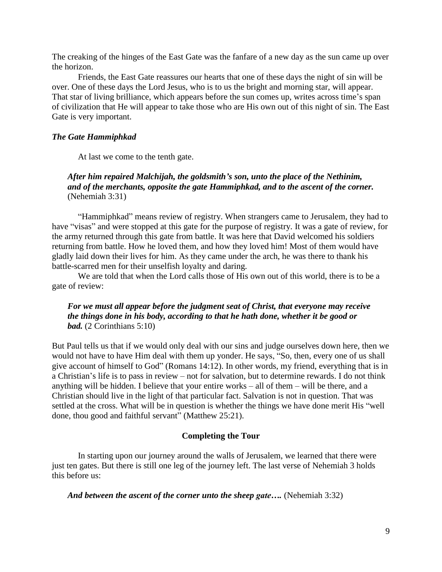The creaking of the hinges of the East Gate was the fanfare of a new day as the sun came up over the horizon.

Friends, the East Gate reassures our hearts that one of these days the night of sin will be over. One of these days the Lord Jesus, who is to us the bright and morning star, will appear. That star of living brilliance, which appears before the sun comes up, writes across time"s span of civilization that He will appear to take those who are His own out of this night of sin. The East Gate is very important.

## *The Gate Hammiphkad*

At last we come to the tenth gate.

*After him repaired Malchijah, the goldsmith's son, unto the place of the Nethinim, and of the merchants, opposite the gate Hammiphkad, and to the ascent of the corner.*  (Nehemiah 3:31)

"Hammiphkad" means review of registry. When strangers came to Jerusalem, they had to have "visas" and were stopped at this gate for the purpose of registry. It was a gate of review, for the army returned through this gate from battle. It was here that David welcomed his soldiers returning from battle. How he loved them, and how they loved him! Most of them would have gladly laid down their lives for him. As they came under the arch, he was there to thank his battle-scarred men for their unselfish loyalty and daring.

We are told that when the Lord calls those of His own out of this world, there is to be a gate of review:

*For we must all appear before the judgment seat of Christ, that everyone may receive the things done in his body, according to that he hath done, whether it be good or bad.* (2 Corinthians 5:10)

But Paul tells us that if we would only deal with our sins and judge ourselves down here, then we would not have to have Him deal with them up yonder. He says, "So, then, every one of us shall give account of himself to God" (Romans 14:12). In other words, my friend, everything that is in a Christian"s life is to pass in review – not for salvation, but to determine rewards. I do not think anything will be hidden. I believe that your entire works – all of them – will be there, and a Christian should live in the light of that particular fact. Salvation is not in question. That was settled at the cross. What will be in question is whether the things we have done merit His "well done, thou good and faithful servant" (Matthew 25:21).

## **Completing the Tour**

In starting upon our journey around the walls of Jerusalem, we learned that there were just ten gates. But there is still one leg of the journey left. The last verse of Nehemiah 3 holds this before us:

*And between the ascent of the corner unto the sheep gate….* (Nehemiah 3:32)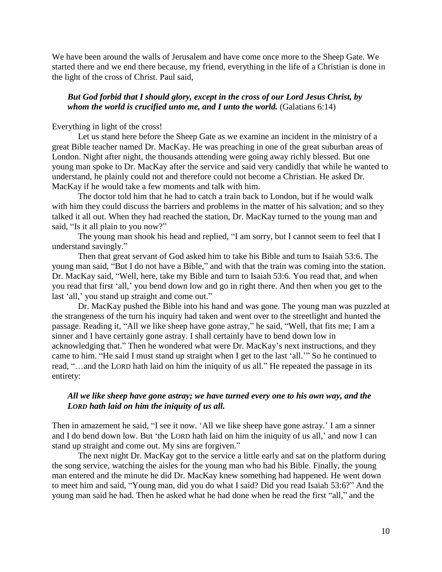We have been around the walls of Jerusalem and have come once more to the Sheep Gate. We started there and we end there because, my friend, everything in the life of a Christian is done in the light of the cross of Christ. Paul said,

# *But God forbid that I should glory, except in the cross of our Lord Jesus Christ, by whom the world is crucified unto me, and I unto the world.* (Galatians 6:14)

## Everything in light of the cross!

Let us stand here before the Sheep Gate as we examine an incident in the ministry of a great Bible teacher named Dr. MacKay. He was preaching in one of the great suburban areas of London. Night after night, the thousands attending were going away richly blessed. But one young man spoke to Dr. MacKay after the service and said very candidly that while he wanted to understand, he plainly could not and therefore could not become a Christian. He asked Dr. MacKay if he would take a few moments and talk with him.

The doctor told him that he had to catch a train back to London, but if he would walk with him they could discuss the barriers and problems in the matter of his salvation; and so they talked it all out. When they had reached the station, Dr. MacKay turned to the young man and said, "Is it all plain to you now?"

The young man shook his head and replied, "I am sorry, but I cannot seem to feel that I understand savingly."

Then that great servant of God asked him to take his Bible and turn to Isaiah 53:6. The young man said, "But I do not have a Bible," and with that the train was coming into the station. Dr. MacKay said, "Well, here, take my Bible and turn to Isaiah 53:6. You read that, and when you read that first "all," you bend down low and go in right there. And then when you get to the last 'all,' you stand up straight and come out."

Dr. MacKay pushed the Bible into his hand and was gone. The young man was puzzled at the strangeness of the turn his inquiry had taken and went over to the streetlight and hunted the passage. Reading it, "All we like sheep have gone astray," he said, "Well, that fits me; I am a sinner and I have certainly gone astray. I shall certainly have to bend down low in acknowledging that." Then he wondered what were Dr. MacKay"s next instructions, and they came to him. "He said I must stand up straight when I get to the last "all."" So he continued to read, "…and the LORD hath laid on him the iniquity of us all." He repeated the passage in its entirety:

# *All we like sheep have gone astray; we have turned every one to his own way, and the LORD hath laid on him the iniquity of us all.*

Then in amazement he said, "I see it now. "All we like sheep have gone astray." I am a sinner and I do bend down low. But 'the LORD hath laid on him the iniquity of us all,' and now I can stand up straight and come out. My sins are forgiven."

The next night Dr. MacKay got to the service a little early and sat on the platform during the song service, watching the aisles for the young man who had his Bible. Finally, the young man entered and the minute he did Dr. MacKay knew something had happened. He went down to meet him and said, "Young man, did you do what I said? Did you read Isaiah 53:6?" And the young man said he had. Then he asked what he had done when he read the first "all," and the